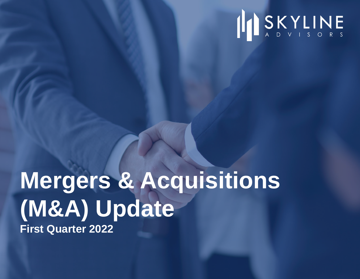

# **Mergers & Acquisitions (M&A) Update First Quarter 2022**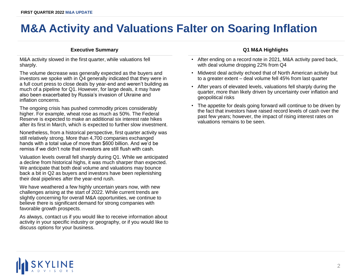# **M&A Activity and Valuations Falter on Soaring Inflation**

### **Executive Summary Q1 M&A Highlights**

M&A activity slowed in the first quarter, while valuations fell sharply.

The volume decrease was generally expected as the buyers and investors we spoke with in Q4 generally indicated that they were in a full court press to close deals by year-end and weren't building as much of a pipeline for Q1. However, for large deals, it may have also been exacerbated by Russia's invasion of Ukraine and inflation concerns.

The ongoing crisis has pushed commodity prices considerably higher. For example, wheat rose as much as 50%. The Federal Reserve is expected to make an additional six interest rate hikes after its first in March, which is expected to further slow investment.

Nonetheless, from a historical perspective, first quarter activity was still relatively strong. More than 4,700 companies exchanged hands with a total value of more than \$600 billion. And we'd be remiss if we didn't note that investors are still flush with cash.

Valuation levels overall fell sharply during Q1. While we anticipated a decline from historical highs, it was much sharper than expected. We anticipate that both deal volume and valuations may bounce back a bit in Q2 as buyers and investors have been replenishing their deal pipelines after the year-end rush.

We have weathered a few highly uncertain years now, with new challenges arising at the start of 2022. While current trends are slightly concerning for overall M&A opportunities, we continue to believe there is significant demand for strong companies with favorable growth prospects.

As always, contact us if you would like to receive information about activity in your specific industry or geography, or if you would like to discuss options for your business.

- After ending on a record note in 2021, M&A activity pared back, with deal volume dropping 22% from Q4
- Midwest deal activity echoed that of North American activity but to a greater extent – deal volume fell 45% from last quarter
- After years of elevated levels, valuations fell sharply during the quarter, more than likely driven by uncertainty over inflation and geopolitical risks
- The appetite for deals going forward will continue to be driven by the fact that investors have raised record levels of cash over the past few years; however, the impact of rising interest rates on valuations remains to be seen.

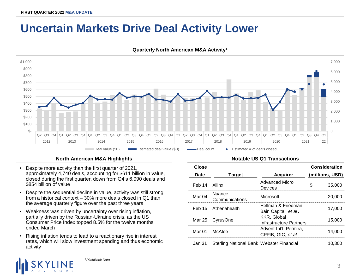# **Uncertain Markets Drive Deal Activity Lower**



### **Quarterly North American M&A Activity<sup>1</sup>**

### **North American M&A Highlights Notable US Q1 Transactions**

- Despite more activity than the first quarter of 2021, approximately 4,740 deals, accounting for \$611 billion in value, closed during the first quarter, down from Q4's 6,090 deals and \$854 billion of value
- Despite the sequential decline in value, activity was still strong from a historical context – 30% more deals closed in Q1 than the average quarterly figure over the past three years
- Weakness was driven by uncertainty over rising inflation, partially driven by the Russian-Ukraine crisis, as the US Consumer Price Index topped 8.5% for the twelve months ended March
- Rising inflation tends to lead to a reactionary rise in interest rates, which will slow investment spending and thus economic activity

| Close             |                                          |                                               | Consideration   |        |
|-------------------|------------------------------------------|-----------------------------------------------|-----------------|--------|
| <b>Date</b>       | <b>Target</b>                            | <b>Acquirer</b>                               | (millions, USD) |        |
| Feb 14            | Xilinx                                   | <b>Advanced Micro</b><br>Devices              | S               | 35,000 |
| Mar <sub>04</sub> | Nuance<br>Communications                 | Microsoft                                     |                 | 20,000 |
|                   | Feb 15 Athenahealth                      | Hellman & Friedman,<br>Bain Capital, et al.   |                 | 17.000 |
|                   | Mar 25 CyrusOne                          | KKR, Global<br><b>Infrastructure Partners</b> |                 | 15.000 |
| Mar 01            | McAfee                                   | Advent Int'l, Permira,<br>CPPIB, GIC, et al.  |                 | 14.000 |
| Jan 31            | Sterling National Bank Webster Financial |                                               |                 | 10.300 |

![](_page_2_Picture_11.jpeg)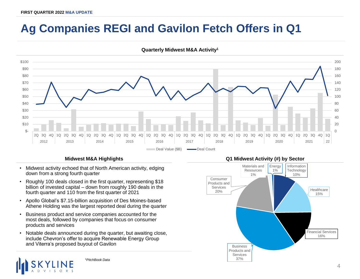# **Ag Companies REGI and Gavilon Fetch Offers in Q1**

![](_page_3_Figure_2.jpeg)

**Quarterly Midwest M&A Activity<sup>1</sup>**

### **Midwest M&A Highlights Q1 Midwest Activity (#) by Sector**

- Midwest activity echoed that of North American activity, edging down from a strong fourth quarter
- Roughly 100 deals closed in the first quarter, representing \$18 billion of invested capital – down from roughly 190 deals in the fourth quarter and 110 from the first quarter of 2021
- Apollo Global's \$7.15-billion acquisition of Des Moines-based Athene Holding was the largest reported deal during the quarter
- Business product and service companies accounted for the most deals, followed by companies that focus on consumer products and services
- Notable deals announced during the quarter, but awaiting close, include Chevron's offer to acquire Renewable Energy Group and Viterra's proposed buyout of Gavilon

![](_page_3_Figure_10.jpeg)

![](_page_3_Picture_11.jpeg)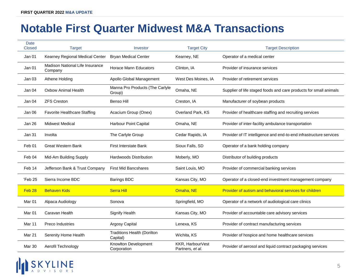### **Notable First Quarter Midwest M&A Transactions**

| Date<br><b>Closed</b> | <b>Target</b>                              | Investor                                       | <b>Target City</b>                   | <b>Target Description</b>                                          |
|-----------------------|--------------------------------------------|------------------------------------------------|--------------------------------------|--------------------------------------------------------------------|
| Jan 01                | Kearney Regional Medical Center            | <b>Bryan Medical Center</b>                    | Kearney, NE                          | Operator of a medical center                                       |
| Jan 01                | Madison National Life Insurance<br>Company | <b>Horace Mann Educators</b>                   | Clinton, IA                          | Provider of insurance services                                     |
| Jan 03                | Athene Holding                             | Apollo Global Management                       | West Des Moines, IA                  | Provider of retirement services                                    |
| Jan 04                | <b>Oxbow Animal Health</b>                 | Manna Pro Products (The Carlyle<br>Group)      | Omaha, NE                            | Supplier of life staged foods and care products for small animals  |
| Jan 04                | <b>ZFS Creston</b>                         | Benso Hill                                     | Creston, IA                          | Manufacturer of soybean products                                   |
| Jan 06                | Favorite Healthcare Staffing               | Acacium Group (Onex)                           | Overland Park, KS                    | Provider of healthcare staffing and recruiting services            |
| Jan 26                | <b>Midwest Medical</b>                     | <b>Harbour Point Capital</b>                   | Omaha, NE                            | Provider of inter-facility ambulance transportation                |
| Jan 31                | Involta                                    | The Carlyle Group                              | Cedar Rapids, IA                     | Provider of IT intelligence and end-to-end infrastructure services |
| Feb 01                | <b>Great Western Bank</b>                  | <b>First Interstate Bank</b>                   | Sioux Falls, SD                      | Operator of a bank holding company                                 |
| Feb 04                | Mid-Am Building Supply                     | Hardwoods Distribution                         | Moberly, MO                          | Distributor of building products                                   |
| Feb 14                | Jefferson Bank & Trust Company             | <b>First Mid Bancshares</b>                    | Saint Louis, MO                      | Provider of commercial banking services                            |
| 'Feb 25               | Sierra Income BDC                          | <b>Barings BDC</b>                             | Kansas City, MO                      | Operator of a closed-end investment management company             |
| Feb <sub>28</sub>     | <b>Behaven Kids</b>                        | <b>Serra Hill</b>                              | Omaha, NE                            | Provider of autism and behavioral services for children            |
| Mar 01                | Alpaca Audiology                           | Sonova                                         | Springfield, MO                      | Operator of a network of audiological care clinics                 |
| Mar 01                | Caravan Health                             | Signify Health                                 | Kansas City, MO                      | Provider of accountable care advisory services                     |
| Mar 11                | Preco Industries                           | Argosy Capital                                 | Lenexa, KS                           | Provider of contract manufacturing services                        |
| Mar 21                | Serenity Home Health                       | <b>Traditions Health (Dorilton</b><br>Capital) | Wichita, KS                          | Provider of hospice and home healthcare services                   |
| Mar 30                | Aerofil Technology                         | Knowlton Development<br>Corporation            | KKR, HarbourVest<br>Partners, et al. | Provider of aerosol and liquid contract packaging services         |
|                       |                                            |                                                |                                      |                                                                    |

### **IE** A D V  $\vert$  S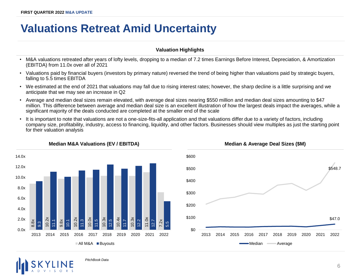## **Valuations Retreat Amid Uncertainty**

### **Valuation Highlights**

- M&A valuations retreated after years of lofty levels, dropping to a median of 7.2 times Earnings Before Interest, Depreciation, & Amortization (EBITDA) from 11.0x over all of 2021
- Valuations paid by financial buyers (investors by primary nature) reversed the trend of being higher than valuations paid by strategic buyers, falling to 5.5 times EBITDA
- We estimated at the end of 2021 that valuations may fall due to rising interest rates; however, the sharp decline is a little surprising and we anticipate that we may see an increase in Q2
- Average and median deal sizes remain elevated, with average deal sizes nearing \$550 million and median deal sizes amounting to \$47 million. This difference between average and median deal size is an excellent illustration of how the largest deals impact the averages, while a significant majority of the deals conducted are completed at the smaller end of the scale
- It is important to note that valuations are not a one-size-fits-all application and that valuations differ due to a variety of factors, including company size, profitability, industry, access to financing, liquidity, and other factors. Businesses should view multiples as just the starting point for their valuation analysis

![](_page_5_Figure_8.jpeg)

![](_page_5_Figure_9.jpeg)

*PitchBook Data*